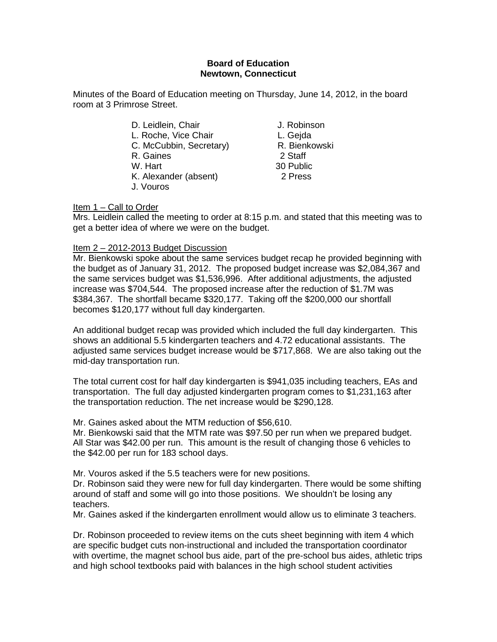## **Board of Education Newtown, Connecticut**

Minutes of the Board of Education meeting on Thursday, June 14, 2012, in the board room at 3 Primrose Street.

> D. Leidlein, Chair **J. Robinson** L. Roche, Vice Chair **L. Gejda**<br>C. McCubbin. Secretary **R. Bienkowski** C. McCubbin, Secretary) R. Bienkowski<br>R. Gaines (29) R. Gaines<br>W. Hart K. Alexander (absent) 2 Press J. Vouros

30 Public

Item 1 – Call to Order

Mrs. Leidlein called the meeting to order at 8:15 p.m. and stated that this meeting was to get a better idea of where we were on the budget.

## Item 2 – 2012-2013 Budget Discussion

Mr. Bienkowski spoke about the same services budget recap he provided beginning with the budget as of January 31, 2012. The proposed budget increase was \$2,084,367 and the same services budget was \$1,536,996. After additional adjustments, the adjusted increase was \$704,544. The proposed increase after the reduction of \$1.7M was \$384,367. The shortfall became \$320,177. Taking off the \$200,000 our shortfall becomes \$120,177 without full day kindergarten.

An additional budget recap was provided which included the full day kindergarten. This shows an additional 5.5 kindergarten teachers and 4.72 educational assistants. The adjusted same services budget increase would be \$717,868. We are also taking out the mid-day transportation run.

The total current cost for half day kindergarten is \$941,035 including teachers, EAs and transportation. The full day adjusted kindergarten program comes to \$1,231,163 after the transportation reduction. The net increase would be \$290,128.

Mr. Gaines asked about the MTM reduction of \$56,610.

Mr. Bienkowski said that the MTM rate was \$97.50 per run when we prepared budget. All Star was \$42.00 per run. This amount is the result of changing those 6 vehicles to the \$42.00 per run for 183 school days.

Mr. Vouros asked if the 5.5 teachers were for new positions.

Dr. Robinson said they were new for full day kindergarten. There would be some shifting around of staff and some will go into those positions. We shouldn't be losing any teachers.

Mr. Gaines asked if the kindergarten enrollment would allow us to eliminate 3 teachers.

Dr. Robinson proceeded to review items on the cuts sheet beginning with item 4 which are specific budget cuts non-instructional and included the transportation coordinator with overtime, the magnet school bus aide, part of the pre-school bus aides, athletic trips and high school textbooks paid with balances in the high school student activities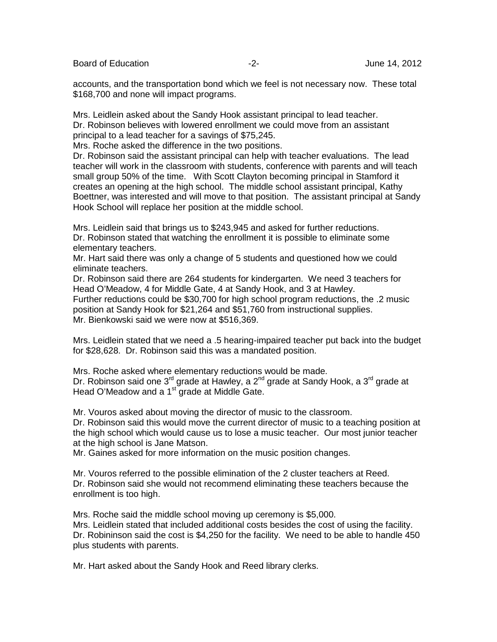Board of Education  $\overline{c}$  -2- Figure 14, 2012

accounts, and the transportation bond which we feel is not necessary now. These total \$168,700 and none will impact programs.

Mrs. Leidlein asked about the Sandy Hook assistant principal to lead teacher. Dr. Robinson believes with lowered enrollment we could move from an assistant principal to a lead teacher for a savings of \$75,245.

Mrs. Roche asked the difference in the two positions.

Dr. Robinson said the assistant principal can help with teacher evaluations. The lead teacher will work in the classroom with students, conference with parents and will teach small group 50% of the time. With Scott Clayton becoming principal in Stamford it creates an opening at the high school. The middle school assistant principal, Kathy Boettner, was interested and will move to that position. The assistant principal at Sandy Hook School will replace her position at the middle school.

Mrs. Leidlein said that brings us to \$243,945 and asked for further reductions. Dr. Robinson stated that watching the enrollment it is possible to eliminate some elementary teachers.

Mr. Hart said there was only a change of 5 students and questioned how we could eliminate teachers.

Dr. Robinson said there are 264 students for kindergarten. We need 3 teachers for Head O'Meadow, 4 for Middle Gate, 4 at Sandy Hook, and 3 at Hawley.

Further reductions could be \$30,700 for high school program reductions, the .2 music position at Sandy Hook for \$21,264 and \$51,760 from instructional supplies. Mr. Bienkowski said we were now at \$516,369.

Mrs. Leidlein stated that we need a .5 hearing-impaired teacher put back into the budget for \$28,628. Dr. Robinson said this was a mandated position.

Mrs. Roche asked where elementary reductions would be made. Dr. Robinson said one  $3^{rd}$  grade at Hawley, a  $2^{nd}$  grade at Sandy Hook, a  $3^{rd}$  grade at Head O'Meadow and a 1<sup>st</sup> grade at Middle Gate.

Mr. Vouros asked about moving the director of music to the classroom.

Dr. Robinson said this would move the current director of music to a teaching position at the high school which would cause us to lose a music teacher. Our most junior teacher at the high school is Jane Matson.

Mr. Gaines asked for more information on the music position changes.

Mr. Vouros referred to the possible elimination of the 2 cluster teachers at Reed. Dr. Robinson said she would not recommend eliminating these teachers because the enrollment is too high.

Mrs. Roche said the middle school moving up ceremony is \$5,000.

Mrs. Leidlein stated that included additional costs besides the cost of using the facility. Dr. Robininson said the cost is \$4,250 for the facility. We need to be able to handle 450 plus students with parents.

Mr. Hart asked about the Sandy Hook and Reed library clerks.